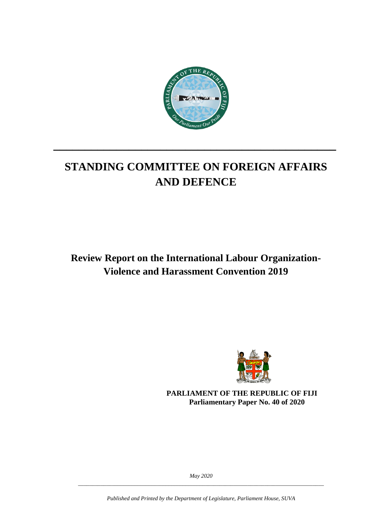

# **STANDING COMMITTEE ON FOREIGN AFFAIRS AND DEFENCE**

**\_\_\_\_\_\_\_\_\_\_\_\_\_\_\_\_\_\_\_\_\_\_\_\_\_\_\_\_\_\_\_\_\_\_\_\_\_\_\_\_\_\_\_\_\_**

**Review Report on the International Labour Organization-Violence and Harassment Convention 2019**



**PARLIAMENT OF THE REPUBLIC OF FIJI Parliamentary Paper No. 40 of 2020**

*May 2020 \_\_\_\_\_\_\_\_\_\_\_\_\_\_\_\_\_\_\_\_\_\_\_\_\_\_\_\_\_\_\_\_\_\_\_\_\_\_\_\_\_\_\_\_\_\_\_\_\_\_\_\_\_\_\_\_\_\_\_\_\_\_\_\_\_\_\_\_\_\_\_\_\_\_\_\_\_\_\_\_\_\_\_\_\_\_\_*

*Published and Printed by the Department of Legislature, Parliament House, SUVA*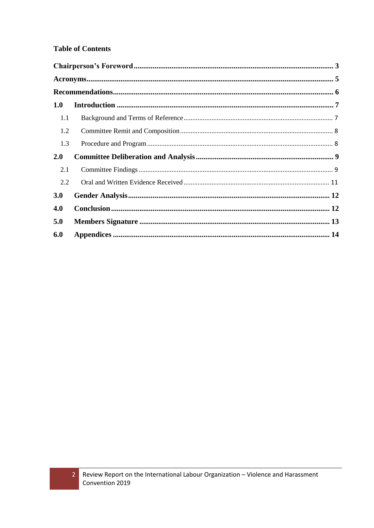#### **Table of Contents**

| 1.0 |  |
|-----|--|
| 1.1 |  |
| 1.2 |  |
| 1.3 |  |
| 2.0 |  |
| 2.1 |  |
| 2.2 |  |
| 3.0 |  |
| 4.0 |  |
| 5.0 |  |
| 6.0 |  |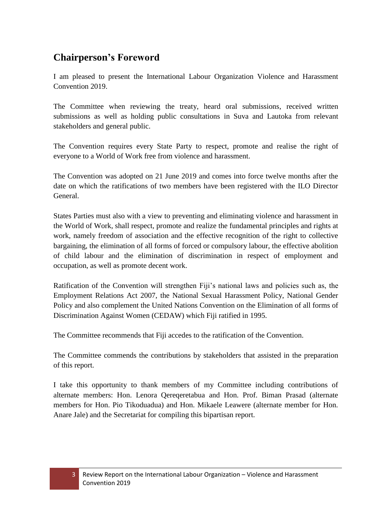## <span id="page-2-0"></span>**Chairperson's Foreword**

I am pleased to present the International Labour Organization Violence and Harassment Convention 2019.

The Committee when reviewing the treaty, heard oral submissions, received written submissions as well as holding public consultations in Suva and Lautoka from relevant stakeholders and general public.

The Convention requires every State Party to respect, promote and realise the right of everyone to a World of Work free from violence and harassment.

The Convention was adopted on 21 June 2019 and comes into force twelve months after the date on which the ratifications of two members have been registered with the ILO Director General.

States Parties must also with a view to preventing and eliminating violence and harassment in the World of Work, shall respect, promote and realize the fundamental principles and rights at work, namely freedom of association and the effective recognition of the right to collective bargaining, the elimination of all forms of forced or compulsory labour, the effective abolition of child labour and the elimination of discrimination in respect of employment and occupation, as well as promote decent work.

Ratification of the Convention will strengthen Fiji's national laws and policies such as, the Employment Relations Act 2007, the National Sexual Harassment Policy, National Gender Policy and also complement the United Nations Convention on the Elimination of all forms of Discrimination Against Women (CEDAW) which Fiji ratified in 1995.

The Committee recommends that Fiji accedes to the ratification of the Convention.

The Committee commends the contributions by stakeholders that assisted in the preparation of this report.

I take this opportunity to thank members of my Committee including contributions of alternate members: Hon. Lenora Qereqeretabua and Hon. Prof. Biman Prasad (alternate members for Hon. Pio Tikoduadua) and Hon. Mikaele Leawere (alternate member for Hon. Anare Jale) and the Secretariat for compiling this bipartisan report.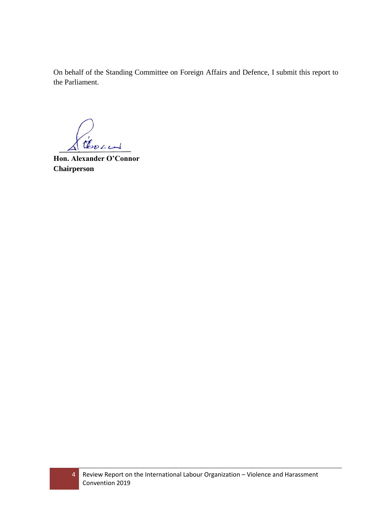On behalf of the Standing Committee on Foreign Affairs and Defence, I submit this report to the Parliament.

Chown

**Hon. Alexander O'Connor Chairperson**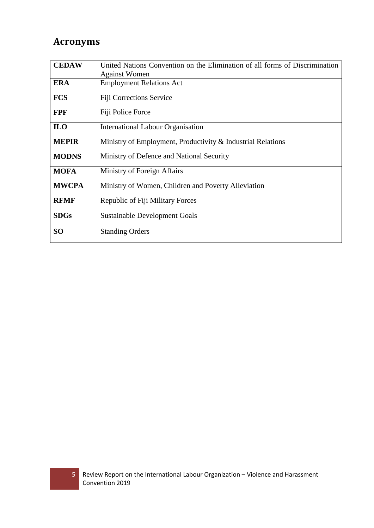## <span id="page-4-0"></span>**Acronyms**

| <b>CEDAW</b>    | United Nations Convention on the Elimination of all forms of Discrimination<br><b>Against Women</b> |  |  |  |
|-----------------|-----------------------------------------------------------------------------------------------------|--|--|--|
| <b>ERA</b>      | <b>Employment Relations Act</b>                                                                     |  |  |  |
| <b>FCS</b>      | Fiji Corrections Service                                                                            |  |  |  |
| <b>FPF</b>      | Fiji Police Force                                                                                   |  |  |  |
| <b>ILO</b>      | <b>International Labour Organisation</b>                                                            |  |  |  |
| <b>MEPIR</b>    | Ministry of Employment, Productivity & Industrial Relations                                         |  |  |  |
| <b>MODNS</b>    | Ministry of Defence and National Security                                                           |  |  |  |
| <b>MOFA</b>     | Ministry of Foreign Affairs                                                                         |  |  |  |
| <b>MWCPA</b>    | Ministry of Women, Children and Poverty Alleviation                                                 |  |  |  |
| <b>RFMF</b>     | Republic of Fiji Military Forces                                                                    |  |  |  |
| <b>SDGs</b>     | <b>Sustainable Development Goals</b>                                                                |  |  |  |
| SO <sub>1</sub> | <b>Standing Orders</b>                                                                              |  |  |  |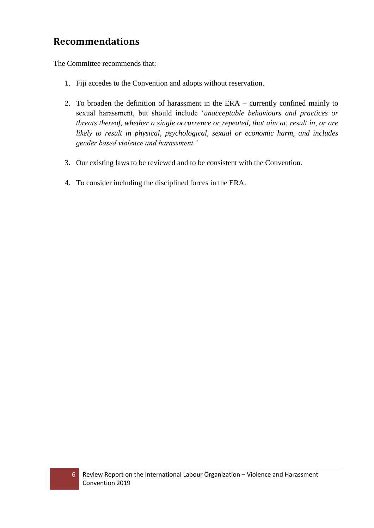## <span id="page-5-0"></span>**Recommendations**

The Committee recommends that:

- 1. Fiji accedes to the Convention and adopts without reservation.
- 2. To broaden the definition of harassment in the ERA currently confined mainly to sexual harassment, but should include '*unacceptable behaviours and practices or threats thereof, whether a single occurrence or repeated, that aim at, result in, or are likely to result in physical, psychological, sexual or economic harm, and includes gender based violence and harassment.'*
- 3. Our existing laws to be reviewed and to be consistent with the Convention.
- 4. To consider including the disciplined forces in the ERA.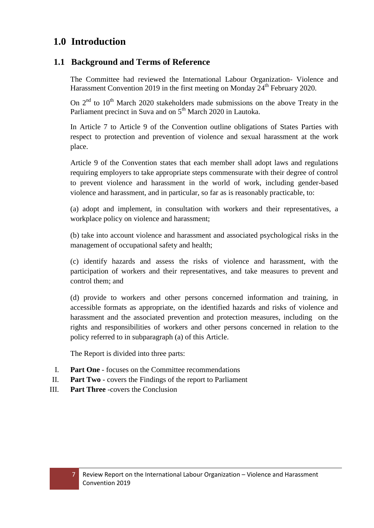### <span id="page-6-0"></span>**1.0 Introduction**

#### <span id="page-6-1"></span>**1.1 Background and Terms of Reference**

The Committee had reviewed the International Labour Organization- Violence and Harassment Convention 2019 in the first meeting on Monday  $24<sup>th</sup>$  February 2020.

On  $2<sup>nd</sup>$  to  $10<sup>th</sup>$  March 2020 stakeholders made submissions on the above Treaty in the Parliament precinct in Suva and on 5<sup>th</sup> March 2020 in Lautoka.

In Article 7 to Article 9 of the Convention outline obligations of States Parties with respect to protection and prevention of violence and sexual harassment at the work place.

Article 9 of the Convention states that each member shall adopt laws and regulations requiring employers to take appropriate steps commensurate with their degree of control to prevent violence and harassment in the world of work, including gender-based violence and harassment, and in particular, so far as is reasonably practicable, to:

(a) adopt and implement, in consultation with workers and their representatives, a workplace policy on violence and harassment;

(b) take into account violence and harassment and associated psychological risks in the management of occupational safety and health;

(c) identify hazards and assess the risks of violence and harassment, with the participation of workers and their representatives, and take measures to prevent and control them; and

(d) provide to workers and other persons concerned information and training, in accessible formats as appropriate, on the identified hazards and risks of violence and harassment and the associated prevention and protection measures, including on the rights and responsibilities of workers and other persons concerned in relation to the policy referred to in subparagraph (a) of this Article.

The Report is divided into three parts:

- I. **Part One** focuses on the Committee recommendations
- II. **Part Two** covers the Findings of the report to Parliament
- III. **Part Three** -covers the Conclusion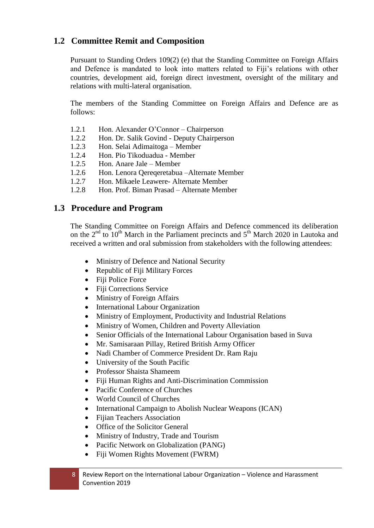#### <span id="page-7-0"></span>**1.2 Committee Remit and Composition**

Pursuant to Standing Orders 109(2) (e) that the Standing Committee on Foreign Affairs and Defence is mandated to look into matters related to Fiji's relations with other countries, development aid, foreign direct investment, oversight of the military and relations with multi-lateral organisation.

The members of the Standing Committee on Foreign Affairs and Defence are as follows:

- 1.2.1 Hon. Alexander O'Connor Chairperson
- 1.2.2 Hon. Dr. Salik Govind Deputy Chairperson
- 1.2.3 Hon. Selai Adimaitoga Member
- 1.2.4 Hon. Pio Tikoduadua Member
- 1.2.5 Hon. Anare Jale Member
- 1.2.6 Hon. Lenora Qereqeretabua –Alternate Member
- 1.2.7 Hon. Mikaele Leawere- Alternate Member
- 1.2.8 Hon. Prof. Biman Prasad Alternate Member

#### <span id="page-7-1"></span>**1.3 Procedure and Program**

The Standing Committee on Foreign Affairs and Defence commenced its deliberation on the  $2<sup>nd</sup>$  to  $10<sup>th</sup>$  March in the Parliament precincts and  $5<sup>th</sup>$  March 2020 in Lautoka and received a written and oral submission from stakeholders with the following attendees:

- Ministry of Defence and National Security
- Republic of Fiji Military Forces
- Fiji Police Force
- Fiji Corrections Service
- Ministry of Foreign Affairs
- International Labour Organization
- Ministry of Employment, Productivity and Industrial Relations
- Ministry of Women, Children and Poverty Alleviation
- Senior Officials of the International Labour Organisation based in Suva
- Mr. Samisaraan Pillay, Retired British Army Officer
- Nadi Chamber of Commerce President Dr. Ram Raju
- University of the South Pacific
- Professor Shaista Shameem
- Fiji Human Rights and Anti-Discrimination Commission
- Pacific Conference of Churches
- World Council of Churches
- International Campaign to Abolish Nuclear Weapons (ICAN)
- Fijian Teachers Association
- Office of the Solicitor General
- Ministry of Industry, Trade and Tourism
- Pacific Network on Globalization (PANG)
- Fiji Women Rights Movement (FWRM)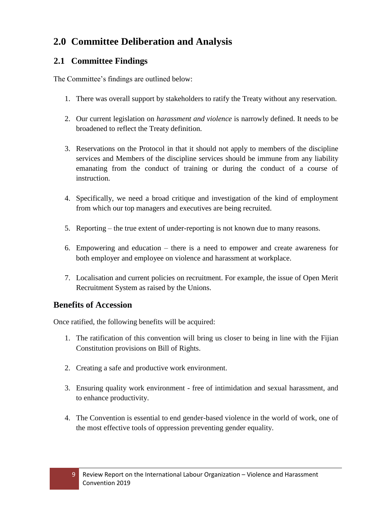## <span id="page-8-0"></span>**2.0 Committee Deliberation and Analysis**

### <span id="page-8-1"></span>**2.1 Committee Findings**

The Committee's findings are outlined below:

- 1. There was overall support by stakeholders to ratify the Treaty without any reservation.
- 2. Our current legislation on *harassment and violence* is narrowly defined. It needs to be broadened to reflect the Treaty definition.
- 3. Reservations on the Protocol in that it should not apply to members of the discipline services and Members of the discipline services should be immune from any liability emanating from the conduct of training or during the conduct of a course of instruction.
- 4. Specifically, we need a broad critique and investigation of the kind of employment from which our top managers and executives are being recruited.
- 5. Reporting the true extent of under-reporting is not known due to many reasons.
- 6. Empowering and education there is a need to empower and create awareness for both employer and employee on violence and harassment at workplace.
- 7. Localisation and current policies on recruitment. For example, the issue of Open Merit Recruitment System as raised by the Unions.

### **Benefits of Accession**

Once ratified, the following benefits will be acquired:

- 1. The ratification of this convention will bring us closer to being in line with the Fijian Constitution provisions on Bill of Rights.
- 2. Creating a safe and productive work environment.
- 3. Ensuring quality work environment free of intimidation and sexual harassment, and to enhance productivity.
- 4. The Convention is essential to end gender-based violence in the world of work, one of the most effective tools of oppression preventing gender equality.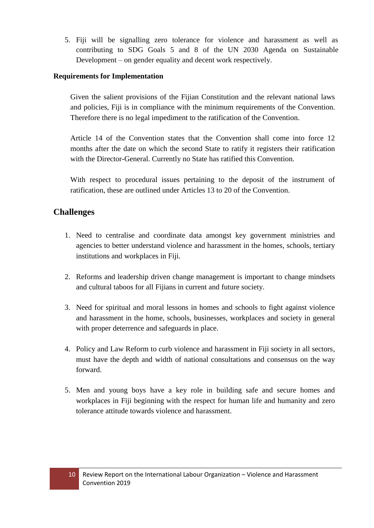5. Fiji will be signalling zero tolerance for violence and harassment as well as contributing to SDG Goals 5 and 8 of the UN 2030 Agenda on Sustainable Development – on gender equality and decent work respectively.

#### **Requirements for Implementation**

Given the salient provisions of the Fijian Constitution and the relevant national laws and policies, Fiji is in compliance with the minimum requirements of the Convention. Therefore there is no legal impediment to the ratification of the Convention.

Article 14 of the Convention states that the Convention shall come into force 12 months after the date on which the second State to ratify it registers their ratification with the Director-General. Currently no State has ratified this Convention.

With respect to procedural issues pertaining to the deposit of the instrument of ratification, these are outlined under Articles 13 to 20 of the Convention.

#### **Challenges**

- 1. Need to centralise and coordinate data amongst key government ministries and agencies to better understand violence and harassment in the homes, schools, tertiary institutions and workplaces in Fiji.
- 2. Reforms and leadership driven change management is important to change mindsets and cultural taboos for all Fijians in current and future society.
- 3. Need for spiritual and moral lessons in homes and schools to fight against violence and harassment in the home, schools, businesses, workplaces and society in general with proper deterrence and safeguards in place.
- 4. Policy and Law Reform to curb violence and harassment in Fiji society in all sectors, must have the depth and width of national consultations and consensus on the way forward.
- 5. Men and young boys have a key role in building safe and secure homes and workplaces in Fiji beginning with the respect for human life and humanity and zero tolerance attitude towards violence and harassment.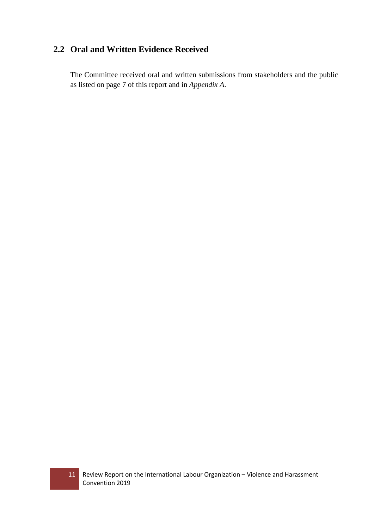### <span id="page-10-0"></span>**2.2 Oral and Written Evidence Received**

The Committee received oral and written submissions from stakeholders and the public as listed on page 7 of this report and in *Appendix A*.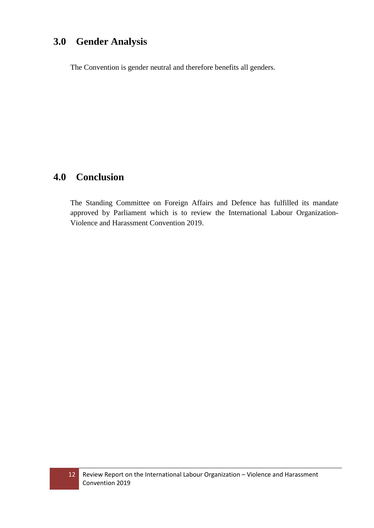## <span id="page-11-0"></span>**3.0 Gender Analysis**

The Convention is gender neutral and therefore benefits all genders.

### <span id="page-11-1"></span>**4.0 Conclusion**

The Standing Committee on Foreign Affairs and Defence has fulfilled its mandate approved by Parliament which is to review the International Labour Organization-Violence and Harassment Convention 2019.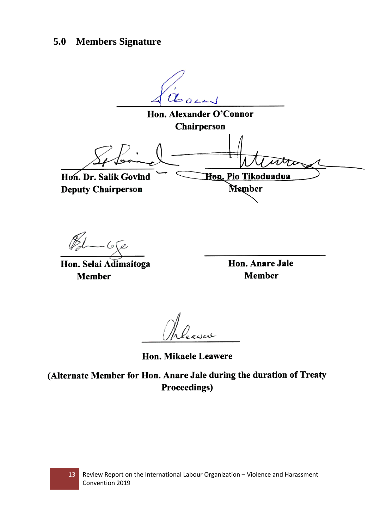## <span id="page-12-0"></span>**5.0 Members Signature**

Closen Hon. Alexander O'Connor Chairperson Hon. Pio Tikoduadua Hon. Dr. Salik Govind Member **Deputy Chairperson** 

 $81 - 672$ 

Hon. Selai Adimaitoga **Member** 

Hon. Anare Jale **Member** 

Hon. Mikaele Leawere

(Alternate Member for Hon. Anare Jale during the duration of Treaty **Proceedings)**